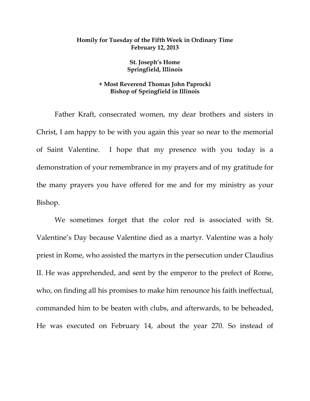## **Homily for Tuesday of the Fifth Week in Ordinary Time February 12, 2013**

**St. Joseph's Home Springfield, Illinois** 

## **+ Most Reverend Thomas John Paprocki Bishop of Springfield in Illinois**

 Father Kraft, consecrated women, my dear brothers and sisters in Christ, I am happy to be with you again this year so near to the memorial of Saint Valentine. I hope that my presence with you today is a demonstration of your remembrance in my prayers and of my gratitude for the many prayers you have offered for me and for my ministry as your Bishop.

 We sometimes forget that the color red is associated with St. Valentine's Day because Valentine died as a martyr. Valentine was a holy priest in Rome, who assisted the martyrs in the persecution under Claudius II. He was apprehended, and sent by the emperor to the prefect of Rome, who, on finding all his promises to make him renounce his faith ineffectual, commanded him to be beaten with clubs, and afterwards, to be beheaded, He was executed on February 14, about the year 270. So instead of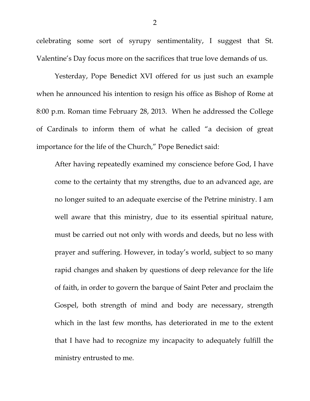celebrating some sort of syrupy sentimentality, I suggest that St. Valentine's Day focus more on the sacrifices that true love demands of us.

 Yesterday, Pope Benedict XVI offered for us just such an example when he announced his intention to resign his office as Bishop of Rome at 8:00 p.m. Roman time February 28, 2013. When he addressed the College of Cardinals to inform them of what he called "a decision of great importance for the life of the Church," Pope Benedict said:

After having repeatedly examined my conscience before God, I have come to the certainty that my strengths, due to an advanced age, are no longer suited to an adequate exercise of the Petrine ministry. I am well aware that this ministry, due to its essential spiritual nature, must be carried out not only with words and deeds, but no less with prayer and suffering. However, in today's world, subject to so many rapid changes and shaken by questions of deep relevance for the life of faith, in order to govern the barque of Saint Peter and proclaim the Gospel, both strength of mind and body are necessary, strength which in the last few months, has deteriorated in me to the extent that I have had to recognize my incapacity to adequately fulfill the ministry entrusted to me.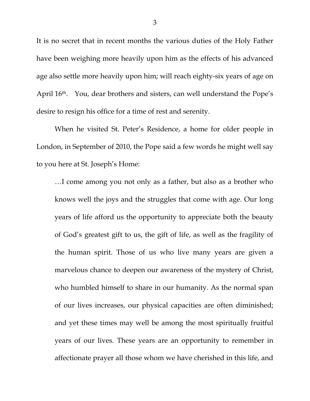It is no secret that in recent months the various duties of the Holy Father have been weighing more heavily upon him as the effects of his advanced age also settle more heavily upon him; will reach eighty-six years of age on April 16th. You, dear brothers and sisters, can well understand the Pope's desire to resign his office for a time of rest and serenity.

 When he visited St. Peter's Residence, a home for older people in London, in September of 2010, the Pope said a few words he might well say to you here at St. Joseph's Home:

…I come among you not only as a father, but also as a brother who knows well the joys and the struggles that come with age. Our long years of life afford us the opportunity to appreciate both the beauty of God's greatest gift to us, the gift of life, as well as the fragility of the human spirit. Those of us who live many years are given a marvelous chance to deepen our awareness of the mystery of Christ, who humbled himself to share in our humanity. As the normal span of our lives increases, our physical capacities are often diminished; and yet these times may well be among the most spiritually fruitful years of our lives. These years are an opportunity to remember in affectionate prayer all those whom we have cherished in this life, and